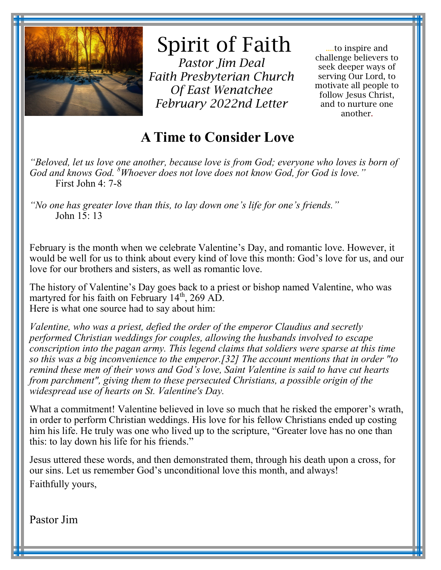

# Spirit of Faith

*Pastor Jim Deal Faith Presbyterian Church Of East Wenatchee February 2022nd Letter* 

....to inspire and challenge believers to seek deeper ways of serving Our Lord, to motivate all people to follow Jesus Christ, and to nurture one another.

## **A Time to Consider Love**

*"Beloved, let us love one another, because love is from God; everyone who loves is born of God and knows God. <sup>8</sup>Whoever does not love does not know God, for God is love."* First John 4: 7-8

*"No one has greater love than this, to lay down one's life for one's friends."* John 15: 13

February is the month when we celebrate Valentine's Day, and romantic love. However, it would be well for us to think about every kind of love this month: God's love for us, and our love for our brothers and sisters, as well as romantic love.

The history of Valentine's Day goes back to a priest or bishop named Valentine, who was martyred for his faith on February  $14<sup>th</sup>$ , 269 AD. Here is what one source had to say about him:

*Valentine, who was a priest, defied the order of the emperor Claudius and secretly performed Christian weddings for couples, allowing the husbands involved to escape conscription into the pagan army. This legend claims that soldiers were sparse at this time so this was a big inconvenience to the emperor.[32] The account mentions that in order "to remind these men of their vows and God's love, Saint Valentine is said to have cut hearts from parchment", giving them to these persecuted Christians, a possible origin of the widespread use of hearts on St. Valentine's Day.*

What a commitment! Valentine believed in love so much that he risked the emporer's wrath, in order to perform Christian weddings. His love for his fellow Christians ended up costing him his life. He truly was one who lived up to the scripture, "Greater love has no one than this: to lay down his life for his friends."

Jesus uttered these words, and then demonstrated them, through his death upon a cross, for our sins. Let us remember God's unconditional love this month, and always! Faithfully yours,

Pastor Jim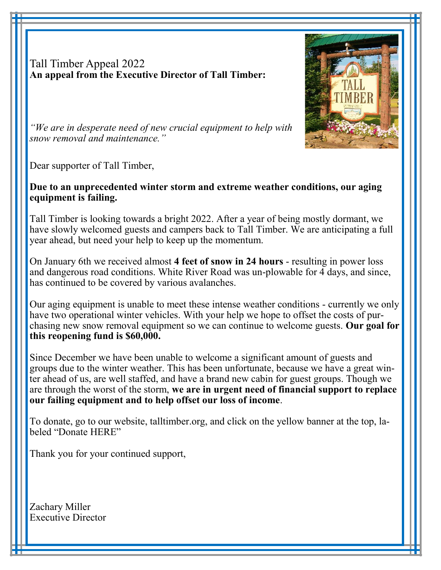Tall Timber Appeal 2022 **An appeal from the Executive Director of Tall Timber:**



*"We are in desperate need of new crucial equipment to help with snow removal and maintenance."*

Dear supporter of Tall Timber,

Ī

#### **Due to an unprecedented winter storm and extreme weather conditions, our aging equipment is failing.**

Tall Timber is looking towards a bright 2022. After a year of being mostly dormant, we have slowly welcomed guests and campers back to Tall Timber. We are anticipating a full year ahead, but need your help to keep up the momentum.

On January 6th we received almost **4 feet of snow in 24 hours** - resulting in power loss and dangerous road conditions. White River Road was un-plowable for 4 days, and since, has continued to be covered by various avalanches.

Our aging equipment is unable to meet these intense weather conditions - currently we only have two operational winter vehicles. With your help we hope to offset the costs of purchasing new snow removal equipment so we can continue to welcome guests. **Our goal for this reopening fund is \$60,000.**

Since December we have been unable to welcome a significant amount of guests and groups due to the winter weather. This has been unfortunate, because we have a great winter ahead of us, are well staffed, and have a brand new cabin for guest groups. Though we are through the worst of the storm, **we are in urgent need of financial support to replace our failing equipment and to help offset our loss of income**.

To donate, go to our website, talltimber.org, and click on the yellow banner at the top, labeled "Donate HERE"

Thank you for your continued support,

Zachary Miller Executive Director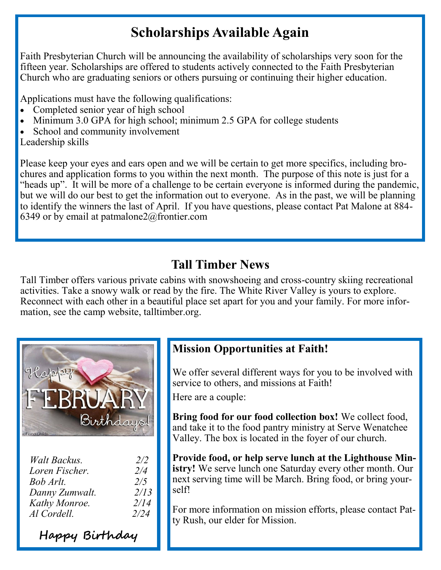# **Scholarships Available Again**

Faith Presbyterian Church will be announcing the availability of scholarships very soon for the fifteen year. Scholarships are offered to students actively connected to the Faith Presbyterian Church who are graduating seniors or others pursuing or continuing their higher education.

Applications must have the following qualifications:

- Completed senior year of high school
- Minimum 3.0 GPA for high school; minimum 2.5 GPA for college students
- School and community involvement

Leadership skills

Please keep your eyes and ears open and we will be certain to get more specifics, including brochures and application forms to you within the next month. The purpose of this note is just for a "heads up". It will be more of a challenge to be certain everyone is informed during the pandemic, but we will do our best to get the information out to everyone. As in the past, we will be planning to identify the winners the last of April. If you have questions, please contact Pat Malone at 884- 6349 or by email at patmalone2@frontier.com

### **Tall Timber News**

Tall Timber offers various private cabins with snowshoeing and cross-country skiing recreational activities. Take a snowy walk or read by the fire. The White River Valley is yours to explore. Reconnect with each other in a beautiful place set apart for you and your family. For more information, see the camp website, talltimber.org.



| Walt Backus.   | 2/2  |
|----------------|------|
| Loren Fischer. | 2/4  |
| Bob Arlt.      | 2/5  |
| Danny Zumwalt. | 2/13 |
| Kathy Monroe.  | 2/14 |
| Al Cordell.    | 2/24 |

**Happy Birthday**

#### **Mission Opportunities at Faith!**

We offer several different ways for you to be involved with service to others, and missions at Faith!

Here are a couple:

**Bring food for our food collection box!** We collect food, and take it to the food pantry ministry at Serve Wenatchee Valley. The box is located in the foyer of our church.

**Provide food, or help serve lunch at the Lighthouse Ministry!** We serve lunch one Saturday every other month. Our next serving time will be March. Bring food, or bring yourself!

For more information on mission efforts, please contact Patty Rush, our elder for Mission.